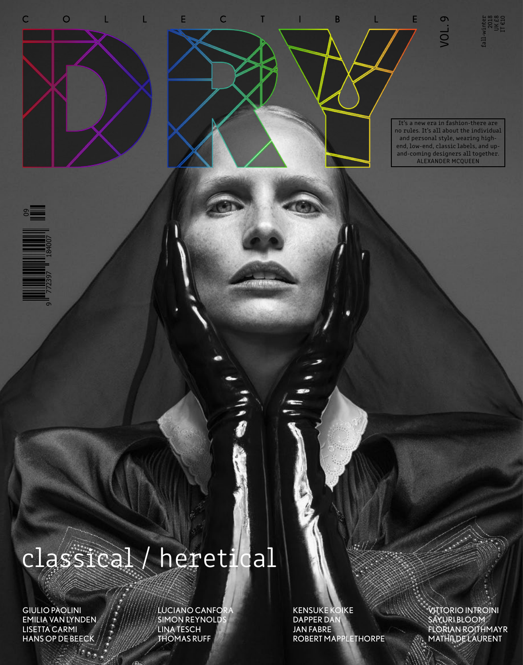

# classical / heretical

GIULIO PAOLINI EMILIA VAN LYNDEN LISETTA CARMI HANS OP DE BEECK

LUCIANO CANFOR SIMON REYNOLD LINA TESCH THOMAS RUFF

KENSUKE KOIKE DAPPER DAN JAN FABRE ROBERT MAPPLETHORPE VITTORIO INTROINI SAYURI BLOOM FLORIAN ROITHMAYR MATHILDE LAURENT